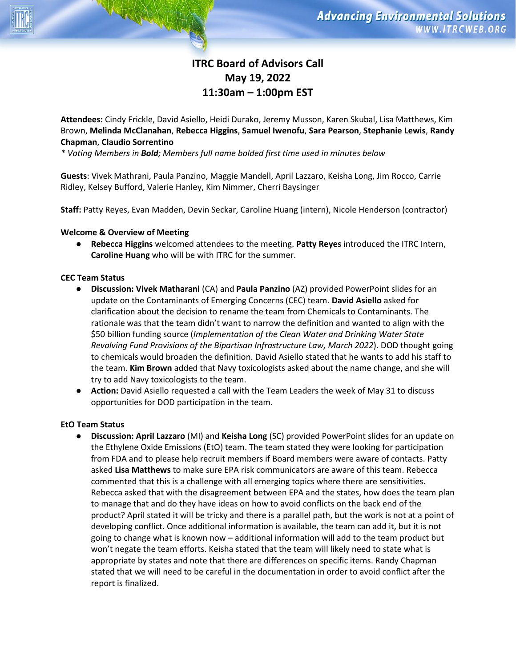# **ITRC Board of Advisors Call May 19, 2022 11:30am – 1:00pm EST**

**Attendees:** Cindy Frickle, David Asiello, Heidi Durako, Jeremy Musson, Karen Skubal, Lisa Matthews, Kim Brown, **Melinda McClanahan**, **Rebecca Higgins**, **Samuel Iwenofu**, **Sara Pearson**, **Stephanie Lewis**, **Randy Chapman**, **Claudio Sorrentino**

*\* Voting Members in Bold; Members full name bolded first time used in minutes below*

**Guests**: Vivek Mathrani, Paula Panzino, Maggie Mandell, April Lazzaro, Keisha Long, Jim Rocco, Carrie Ridley, Kelsey Bufford, Valerie Hanley, Kim Nimmer, Cherri Baysinger

**Staff:** Patty Reyes, Evan Madden, Devin Seckar, Caroline Huang (intern), Nicole Henderson (contractor)

#### **Welcome & Overview of Meeting**

● **Rebecca Higgins** welcomed attendees to the meeting. **Patty Reyes** introduced the ITRC Intern, **Caroline Huang** who will be with ITRC for the summer.

## **CEC Team Status**

- **Discussion: Vivek Matharani** (CA) and **Paula Panzino** (AZ) provided PowerPoint slides for an update on the Contaminants of Emerging Concerns (CEC) team. **David Asiello** asked for clarification about the decision to rename the team from Chemicals to Contaminants. The rationale was that the team didn't want to narrow the definition and wanted to align with the \$50 billion funding source (*Implementation of the Clean Water and Drinking Water State Revolving Fund Provisions of the Bipartisan Infrastructure Law, March 2022*). DOD thought going to chemicals would broaden the definition. David Asiello stated that he wants to add his staff to the team. **Kim Brown** added that Navy toxicologists asked about the name change, and she will try to add Navy toxicologists to the team.
- **Action:** David Asiello requested a call with the Team Leaders the week of May 31 to discuss opportunities for DOD participation in the team.

#### **EtO Team Status**

● **Discussion: April Lazzaro** (MI) and **Keisha Long** (SC) provided PowerPoint slides for an update on the Ethylene Oxide Emissions (EtO) team. The team stated they were looking for participation from FDA and to please help recruit members if Board members were aware of contacts. Patty asked **Lisa Matthews** to make sure EPA risk communicators are aware of this team. Rebecca commented that this is a challenge with all emerging topics where there are sensitivities. Rebecca asked that with the disagreement between EPA and the states, how does the team plan to manage that and do they have ideas on how to avoid conflicts on the back end of the product? April stated it will be tricky and there is a parallel path, but the work is not at a point of developing conflict. Once additional information is available, the team can add it, but it is not going to change what is known now – additional information will add to the team product but won't negate the team efforts. Keisha stated that the team will likely need to state what is appropriate by states and note that there are differences on specific items. Randy Chapman stated that we will need to be careful in the documentation in order to avoid conflict after the report is finalized.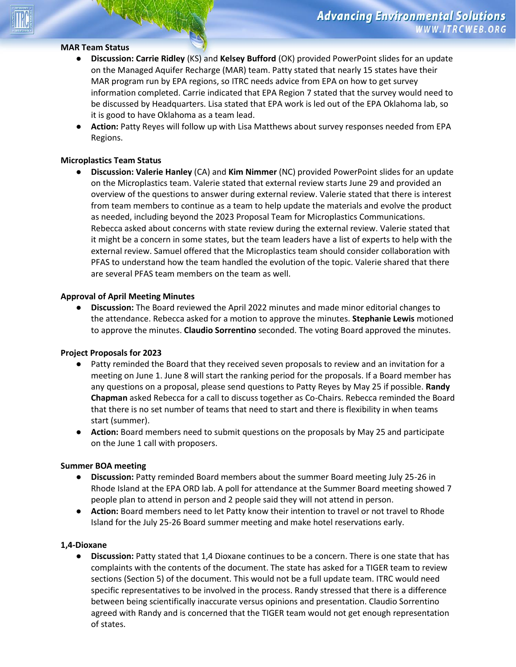# **MAR Team Status**

- **Discussion: Carrie Ridley** (KS) and **Kelsey Bufford** (OK) provided PowerPoint slides for an update on the Managed Aquifer Recharge (MAR) team. Patty stated that nearly 15 states have their MAR program run by EPA regions, so ITRC needs advice from EPA on how to get survey information completed. Carrie indicated that EPA Region 7 stated that the survey would need to be discussed by Headquarters. Lisa stated that EPA work is led out of the EPA Oklahoma lab, so it is good to have Oklahoma as a team lead.
- **Action:** Patty Reyes will follow up with Lisa Matthews about survey responses needed from EPA Regions.

#### **Microplastics Team Status**

● **Discussion: Valerie Hanley** (CA) and **Kim Nimmer** (NC) provided PowerPoint slides for an update on the Microplastics team. Valerie stated that external review starts June 29 and provided an overview of the questions to answer during external review. Valerie stated that there is interest from team members to continue as a team to help update the materials and evolve the product as needed, including beyond the 2023 Proposal Team for Microplastics Communications. Rebecca asked about concerns with state review during the external review. Valerie stated that it might be a concern in some states, but the team leaders have a list of experts to help with the external review. Samuel offered that the Microplastics team should consider collaboration with PFAS to understand how the team handled the evolution of the topic. Valerie shared that there are several PFAS team members on the team as well.

#### **Approval of April Meeting Minutes**

● **Discussion:** The Board reviewed the April 2022 minutes and made minor editorial changes to the attendance. Rebecca asked for a motion to approve the minutes. **Stephanie Lewis** motioned to approve the minutes. **Claudio Sorrentino** seconded. The voting Board approved the minutes.

#### **Project Proposals for 2023**

- Patty reminded the Board that they received seven proposals to review and an invitation for a meeting on June 1. June 8 will start the ranking period for the proposals. If a Board member has any questions on a proposal, please send questions to Patty Reyes by May 25 if possible. **Randy Chapman** asked Rebecca for a call to discuss together as Co-Chairs. Rebecca reminded the Board that there is no set number of teams that need to start and there is flexibility in when teams start (summer).
- **Action:** Board members need to submit questions on the proposals by May 25 and participate on the June 1 call with proposers.

# **Summer BOA meeting**<br> **•** Discussion: Pat

- **Discussion:** Patty reminded Board members about the summer Board meeting July 25-26 in Rhode Island at the EPA ORD lab. A poll for attendance at the Summer Board meeting showed 7 people plan to attend in person and 2 people said they will not attend in person.
- **Action:** Board members need to let Patty know their intention to travel or not travel to Rhode Island for the July 25-26 Board summer meeting and make hotel reservations early.

#### **1,4-Dioxane**

● **Discussion:** Patty stated that 1,4 Dioxane continues to be a concern. There is one state that has complaints with the contents of the document. The state has asked for a TIGER team to review sections (Section 5) of the document. This would not be a full update team. ITRC would need specific representatives to be involved in the process. Randy stressed that there is a difference between being scientifically inaccurate versus opinions and presentation. Claudio Sorrentino agreed with Randy and is concerned that the TIGER team would not get enough representation of states.